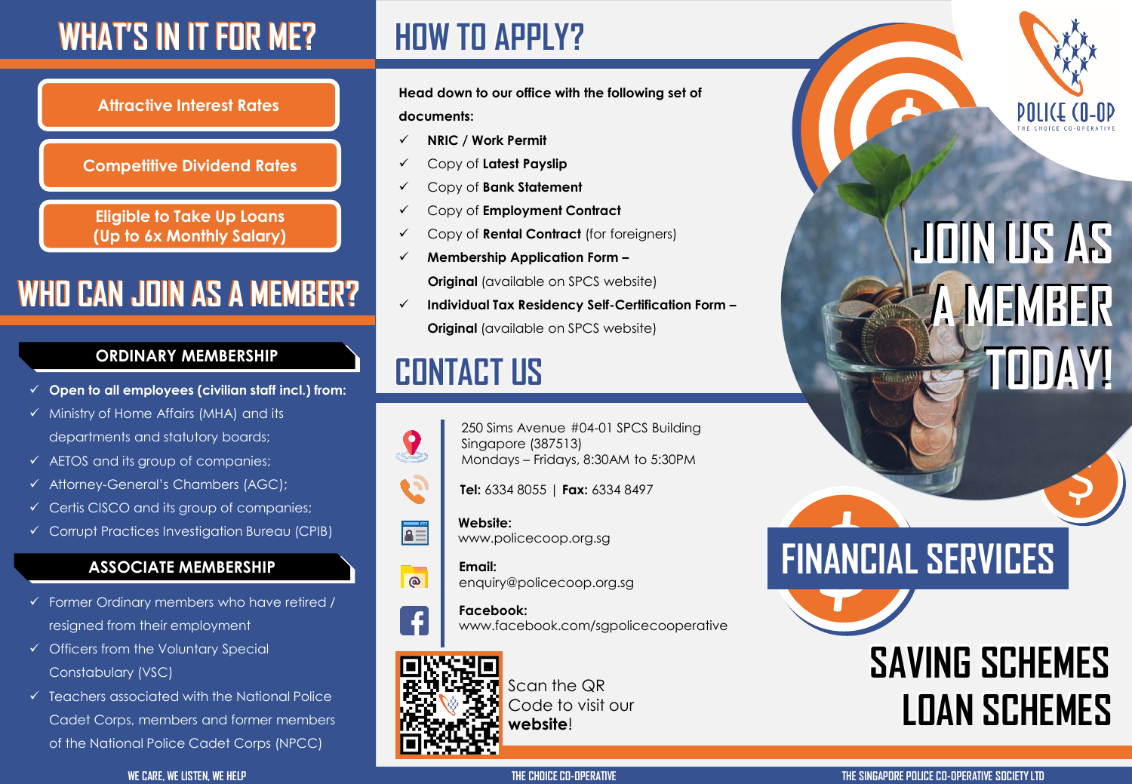### **WHAT'S IN IT FOR ME?**

### **HOW TO APPLY? HOW TO APPLY?**

**Attractive Interest Rates**

#### **Competitive Dividend Rates**

**Eligible to Take Up Loans (Up to 6x Monthly Salary)**

### **WHO CAN JOIN AS A MEMBER? WHO CAN JOIN AS A MEMBER?**

#### **ORDINARY MEMBERSHIP**

- **Open to all employees (civilian staff incl.) from:**
- $\checkmark$  Ministry of Home Affairs (MHA) and its departments and statutory boards;
- $\checkmark$  AETOS and its group of companies;
- Attorney-General's Chambers (AGC);
- $\checkmark$  Certis CISCO and its group of companies;
- Corrupt Practices Investigation Bureau (CPIB)

### **ASSOCIATE MEMBERSHIP**

- $\checkmark$  Former Ordinary members who have retired / resigned from their employment
- $\checkmark$  Officers from the Voluntary Special Constabulary (VSC)
- $\checkmark$  Teachers associated with the National Police Cadet Corps, members and former members of the National Police Cadet Corps (NPCC)

**Head down to our office with the following set of documents:**

- **NRIC / Work Permit**
- Copy of **Latest Payslip**
- Copy of **Bank Statement**
- Copy of **Employment Contract**
- Copy of **Rental Contract** (for foreigners)
- **Membership Application Form –**

**Original** (available on SPCS website)

 **Individual Tax Residency Self-Certification Form – Original** (available on SPCS website)

### **CONTACT US CONTACT US**



 $\bullet$ 

- 250 Sims Avenue #04-01 SPCS Building Singapore (387513) Mondays – Fridays, 8:30AM to 5:30PM
- **Tel:** 6334 8055 | **Fax:** 6334 8497



 $\overline{\circ}$ 

#### **Website:**  www.policecoop.org.sg



**Email:**  enquiry@policecoop.org.sg

#### **Facebook:**  www.facebook.com/sgpolicecooperative



Scan the QR Code to visit our **website**!

# **\$ JOIN US AS JOIN US AS**

**A MEMBER A MEMBER** 

**TODAY! TODAY!**

## **FINANCIAL SERVICES**

## **SAVING SCHEMES SAVING SCHEMES LOAN SCHEMES LOAN SCHEMES**

 $\blacklozenge$